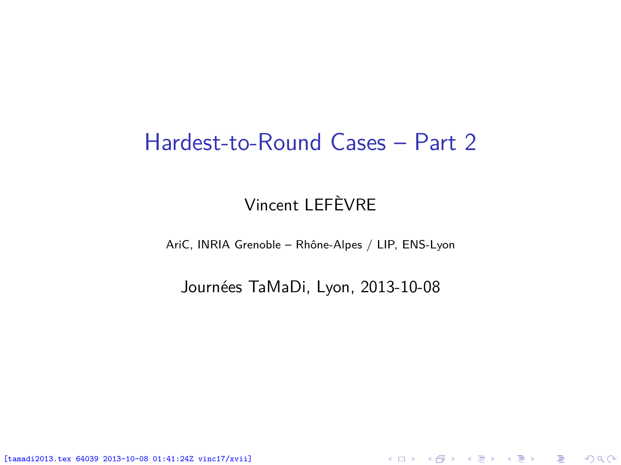#### Hardest-to-Round Cases – Part 2

#### Vincent LEFÈVRE

AriC, INRIA Grenoble – Rhône-Alpes / LIP, ENS-Lyon

Journées TaMaDi, Lyon, 2013-10-08

<span id="page-0-0"></span>K ロ ▶ K @ ▶ K 할 ▶ K 할 ▶ 이 할 → 900

[tamadi2013.tex 64039 2013-10-08 01:41:24Z vinc17/xvii]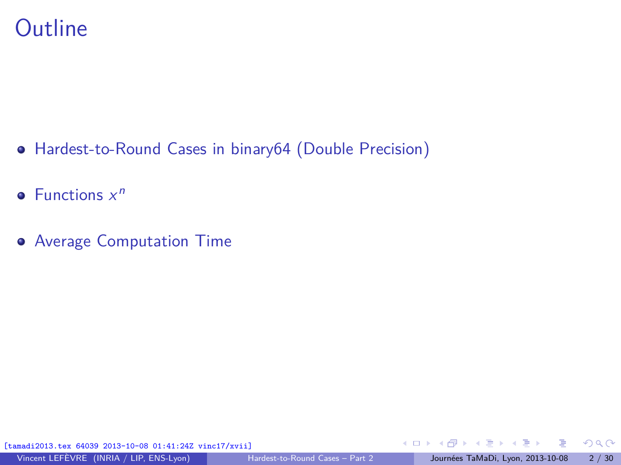### **Outline**

- [Hardest-to-Round Cases in binary64 \(Double Precision\)](#page-2-0)
- [Functions](#page-17-0)  $x^n$
- **[Average Computation Time](#page-21-0)**

[tamadi2013.tex 64039 2013-10-08 01:41:24Z vinc17/xvii]

<span id="page-1-0"></span> $299$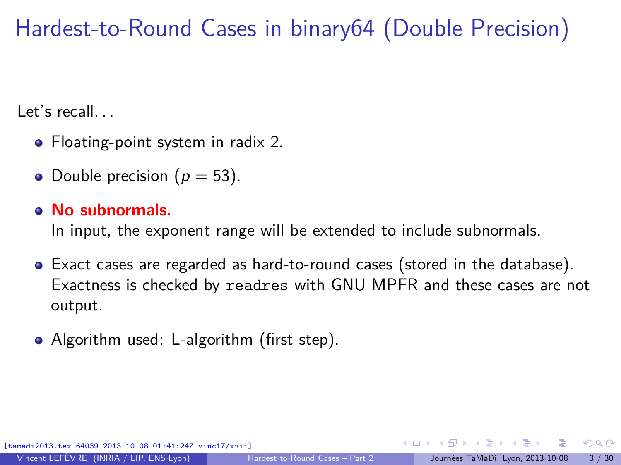# Hardest-to-Round Cases in binary64 (Double Precision)

Let's recall.

- Floating-point system in radix 2.
- Double precision ( $p = 53$ ).

#### **No subnormals.**

In input, the exponent range will be extended to include subnormals.

- Exact cases are regarded as hard-to-round cases (stored in the database). Exactness is checked by readres with GNU MPFR and these cases are not output.
- Algorithm used: L-algorithm (first step).

<span id="page-2-0"></span> $\Omega$ 

 $\mathcal{A}$  and  $\mathcal{A}$  in the set of  $\mathcal{B}$  is a set of  $\mathcal{B}$  is a set of  $\mathcal{B}$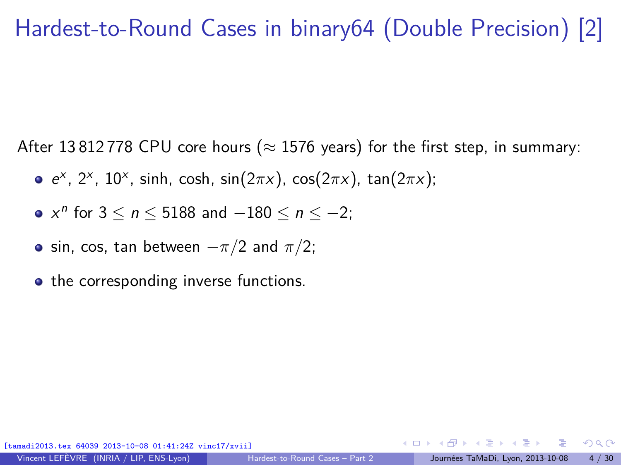## Hardest-to-Round Cases in binary64 (Double Precision) [2]

After 13 812 778 CPU core hours ( $\approx$  1576 years) for the first step, in summary:

- e x , 2<sup>x</sup> , 10<sup>x</sup> , sinh, cosh, sin(2*π*x), cos(2*π*x), tan(2*π*x);
- $x^n$  for  $3 \le n \le 5188$  and  $-180 \le n \le -2$ ;
- $\bullet$  sin, cos, tan between  $-\pi/2$  and  $\pi/2$ ;
- the corresponding inverse functions.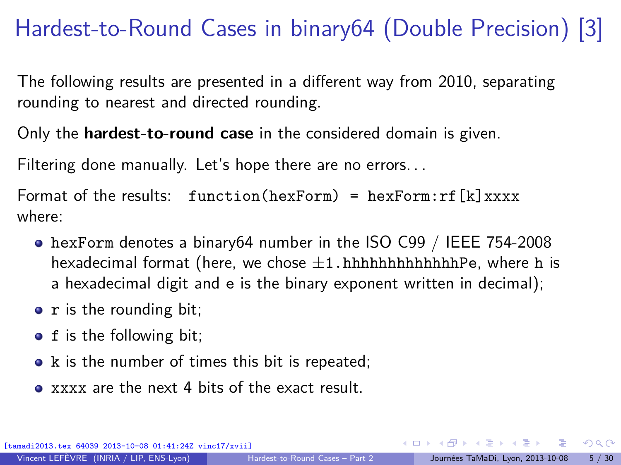# Hardest-to-Round Cases in binary64 (Double Precision) [3]

The following results are presented in a different way from 2010, separating rounding to nearest and directed rounding.

Only the **hardest-to-round case** in the considered domain is given.

Filtering done manually. Let's hope there are no errors. . .

Format of the results:  $function(hexForm) = hexForm:rf[k]xxxx$ where:

- hexForm denotes a binary64 number in the ISO C99 / IEEE 754-2008 hexadecimal format (here, we chose  $\pm 1$ .hhhhhhhhhhhhhPe, where h is a hexadecimal digit and e is the binary exponent written in decimal);
- $\bullet$  r is the rounding bit;
- f is the following bit;
- $\bullet$  k is the number of times this bit is repeated;
- xxxx are the next 4 bits of the exact result.

 $\Omega$ 

イロト イ押 トイヨ トイヨト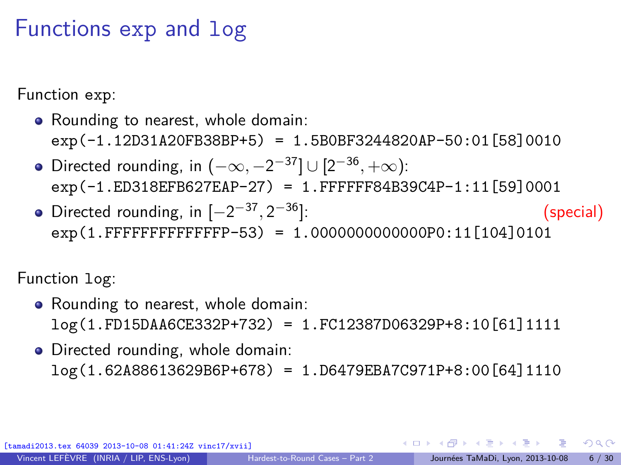# Functions exp and log

Function exp:

- Rounding to nearest, whole domain: exp(-1.12D31A20FB38BP+5) = 1.5B0BF3244820AP-50:01[58]0010
- Directed rounding, in  $(-\infty, -2^{-37}] \cup [2^{-36}, +\infty)$ : exp(-1.ED318EFB627EAP-27) = 1.FFFFFF84B39C4P-1:11[59]0001
- Directed rounding, in  $[-2^{-37}, 2]$ <sup>−</sup><sup>36</sup>]: (special) exp(1.FFFFFFFFFFFFFP-53) = 1.0000000000000P0:11[104]0101

Function log:

- Rounding to nearest, whole domain: log(1.FD15DAA6CE332P+732) = 1.FC12387D06329P+8:10[61]1111
- Directed rounding, whole domain:
	- log(1.62A88613629B6P+678) = 1.D6479EBA7C971P+8:00[64]1110

[tamadi2013.tex 64039 2013-10-08 01:41:24Z vinc17/xvii]

<span id="page-5-0"></span> $209$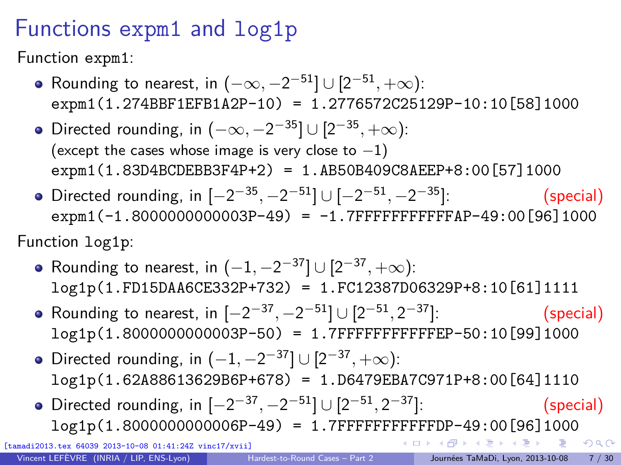# Functions expm1 and log1p

Function expm1:

- Rounding to nearest, in  $(-\infty, -2^{-51}] \cup [2^{-51}, +\infty)$ : expm1(1.274BBF1EFB1A2P-10) = 1.2776572C25129P-10:10[58]1000
- Directed rounding, in  $(-\infty, -2^{-35}] \cup [2^{-35}, +\infty)$ : (except the cases whose image is very close to  $-1$ ) expm1(1.83D4BCDEBB3F4P+2) = 1.AB50B409C8AEEP+8:00[57]1000
- Directed rounding, in  $[-2^{-35}, -2^{-51}] \cup [-2^{-51}, -2]$ <sup>−</sup><sup>35</sup>]: (special)  $expm1(-1.800000000003P-49) = -1.7$ FFFFFFFFFFFFFAP-49:00[96]1000

Function log1p:

- Rounding to nearest, in  $(-1, -2^{-37}] \cup [2^{-37}, +\infty)$ : log1p(1.FD15DAA6CE332P+732) = 1.FC12387D06329P+8:10[61]1111
- Rounding to nearest, in  $[-2^{-37}, -2^{-51}] \cup [2^{-51}, 2]$ <sup>−</sup><sup>37</sup>]: (special) log1p(1.8000000000003P-50) = 1.7FFFFFFFFFFFEP-50:10[99]1000
- Directed rounding, in  $(-1, -2^{-37}] \cup [2^{-37}, +\infty)$ : log1p(1.62A88613629B6P+678) = 1.D6479EBA7C971P+8:00[64]1110
- Directed rounding, in  $[-2^{-37}, -2^{-51}] \cup [2^{-51}, 2]$ <sup>−</sup><sup>37</sup>]: (special) log1p(1.8000000000006P-49) = 1.7FFFFFF[FFF](#page-5-0)[FF](#page-7-0)[D](#page-5-0)[P-](#page-6-0)[4](#page-7-0)[9](#page-0-0)[:](#page-1-0)[00](#page-29-0)[\[](#page-0-0)[9](#page-1-0)[6\]](#page-29-0)[10](#page-0-0)[00](#page-29-0)

[tamadi2013.tex 64039 2013-10-08 01:41:24Z vinc17/xvii]

э

<span id="page-6-0"></span> $QQ$ 

. . . . <del>.</del> . . . . . .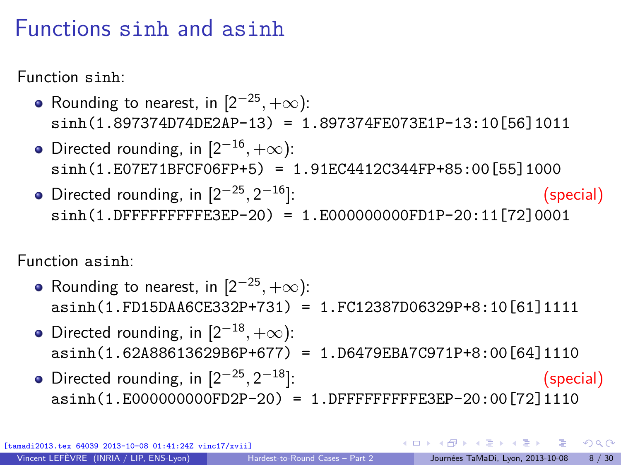#### Functions sinh and asinh

Function sinh:

- Rounding to nearest, in  $[2^{-25}, +\infty)$ : sinh(1.897374D74DE2AP-13) = 1.897374FE073E1P-13:10[56]1011
- Directed rounding, in  $[2^{-16}, +\infty)$ : sinh(1.E07E71BFCF06FP+5) = 1.91EC4412C344FP+85:00[55]1000
- Directed rounding, in  $[2^{-25}, 2]$ <sup>−</sup><sup>16</sup>]: (special) sinh(1.DFFFFFFFFFE3EP-20) = 1.E000000000FD1P-20:11[72]0001

Function asinh:

- Rounding to nearest, in  $[2^{-25}, +\infty)$ : asinh(1.FD15DAA6CE332P+731) = 1.FC12387D06329P+8:10[61]1111
- Directed rounding, in  $[2^{-18}, +\infty)$ : asinh(1.62A88613629B6P+677) = 1.D6479EBA7C971P+8:00[64]1110
- Directed rounding, in  $[2^{-25}, 2]$ <sup>−</sup><sup>18</sup>]: (special) asinh(1.E000000000FD2P-20) = 1.DFFFFFFFFFE3EP-20:00[72]1110

64039 2013-10-08 01:41:24Z vinc17/xvii]

<span id="page-7-0"></span> $\Omega$ 

 $\qquad \qquad \exists \quad \mathbf{1} \in \mathbb{R} \; \; \forall \; \mathbf{1} \in \mathbb{R} \; \; \forall \; \mathbf{1} \in \mathbb{R} \; \forall \; \mathbf{1} \in \mathbb{R} \; \forall \; \mathbf{1} \in \mathbb{R} \; \forall \; \mathbf{1} \in \mathbb{R} \; \forall \; \mathbf{1} \in \mathbb{R} \; \forall \; \mathbf{1} \in \mathbb{R} \; \forall \; \mathbf{1} \in \mathbb{R} \; \forall \; \mathbf{1} \in \mathbb{R} \; \forall \; \mathbf{1}$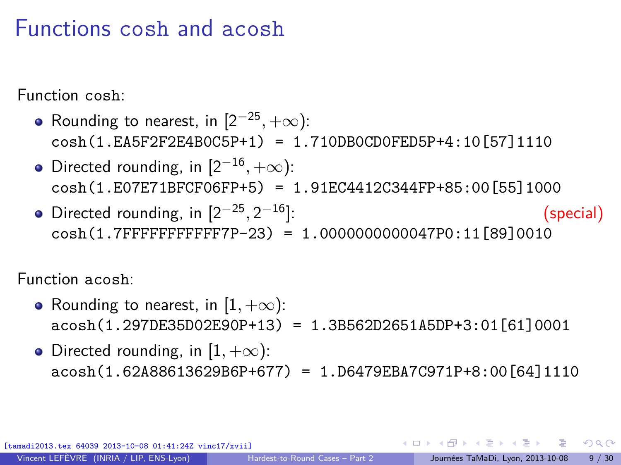#### Functions cosh and acosh

Function cosh:

- Rounding to nearest, in  $[2^{-25}, +\infty)$ : cosh(1.EA5F2F2E4B0C5P+1) = 1.710DB0CD0FED5P+4:10[57]1110
- Directed rounding, in  $[2^{-16}, +\infty)$ : cosh(1.E07E71BFCF06FP+5) = 1.91EC4412C344FP+85:00[55]1000
- Directed rounding, in  $[2^{-25}, 2]$ <sup>−</sup><sup>16</sup>]: (special) cosh(1.7FFFFFFFFFFF7P-23) = 1.0000000000047P0:11[89]0010

Function acosh:

- Rounding to nearest, in  $[1, +\infty)$ : acosh(1.297DE35D02E90P+13) = 1.3B562D2651A5DP+3:01[61]0001
- Directed rounding, in  $[1, +\infty)$ :  $acosh(1.62A88613629B6P+677) = 1. D6479EBA7C971P+8:00[64]1110$

 $\Omega$ 

→ イ何 ト イヨ ト イヨ ト ニヨ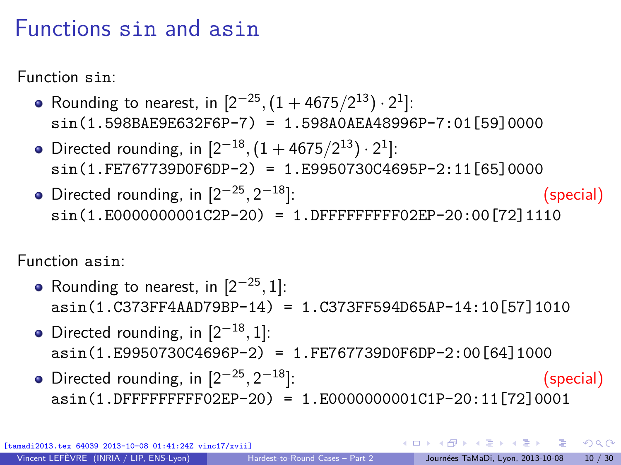### Functions sin and asin

Function sin:

- Rounding to nearest, in  $[2^{-25}, (1 + 4675/2^{13}) \cdot 2^1]$ : sin(1.598BAE9E632F6P-7) = 1.598A0AEA48996P-7:01[59]0000
- Directed rounding, in  $[2^{-18}, (1 + 4675/2^{13}) \cdot 2^1]$ : sin(1.FE767739D0F6DP-2) = 1.E9950730C4695P-2:11[65]0000
- Directed rounding, in  $[2^{-25}, 2]$ <sup>−</sup><sup>18</sup>]: (special)  $sin(1.E0000000001C2P-20) = 1.$  DFFFFFFFFFF02EP-20:00 [72] 1110

Function asin:

- Rounding to nearest, in  $[2^{-25}, 1]$ : asin(1.C373FF4AAD79BP-14) = 1.C373FF594D65AP-14:10[57]1010
- Directed rounding, in  $[2^{-18}, 1]$ : asin(1.E9950730C4696P-2) = 1.FE767739D0F6DP-2:00[64]1000
- Directed rounding, in  $[2^{-25}, 2]$ <sup>−</sup><sup>18</sup>]: (special) asin(1.DFFFFFFFFF02EP-20) = 1.E0000000001C1P-20:11[72]0001

[tamadi2013.tex 64039 2013-10-08 01:41:24Z vinc17/xvii]

 $QQ$ 

 $\mathbf{A} \oplus \mathbf{A} \rightarrow \mathbf{A} \oplus \mathbf{A} \rightarrow \mathbf{A} \oplus \mathbf{A} \rightarrow \mathbf{A} \oplus \mathbf{A}$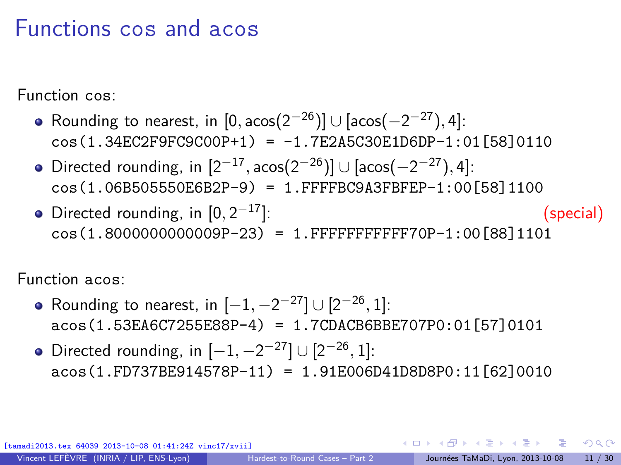### Functions cos and acos

Function cos:

- Rounding to nearest, in  $[0,\arccos(2^{-26})] \cup [\arccos(-2^{-27}),4]$ : cos(1.34EC2F9FC9C00P+1) = -1.7E2A5C30E1D6DP-1:01[58]0110
- $\text{Directed rounding, in } [2^{-17}, \text{acos}(2^{-26})] \cup [\text{acos}(-2^{-27}), 4]$ : cos(1.06B505550E6B2P-9) = 1.FFFFBC9A3FBFEP-1:00[58]1100
- Directed rounding, in  $[0, 2^{-17}]$ : <sup>−</sup><sup>17</sup>]: (special) cos(1.8000000000009P-23) = 1.FFFFFFFFFFF70P-1:00[88]1101

Function acos:

- Rounding to nearest, in  $[-1, -2^{-27}] \cup [2^{-26}, 1]$ : acos(1.53EA6C7255E88P-4) = 1.7CDACB6BBE707P0:01[57]0101
- Directed rounding, in  $[-1, -2^{-27}] \cup [2^{-26}, 1]$ : acos(1.FD737BE914578P-11) = 1.91E006D41D8D8P0:11[62]0010

(013-10-08 01:41:24Z vinc17/xvii]

 $209$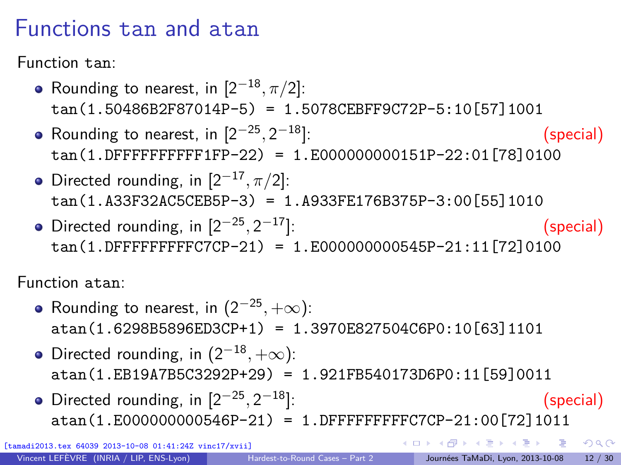### Functions tan and atan

Function tan:

- Rounding to nearest, in  $[2^{-18}, \pi/2]$ : tan(1.50486B2F87014P-5) = 1.5078CEBFF9C72P-5:10[57]1001
- Rounding to nearest, in  $[2^{-25}, 2]$ <sup>−</sup><sup>18</sup>]: (special) tan(1.DFFFFFFFFFF1FP-22) = 1.E000000000151P-22:01[78]0100
- Directed rounding, in  $[2^{-17}, \pi/2]$ : tan(1.A33F32AC5CEB5P-3) = 1.A933FE176B375P-3:00[55]1010
- Directed rounding, in  $[2^{-25}, 2]$ <sup>−</sup><sup>17</sup>]: (special) tan(1.DFFFFFFFFFC7CP-21) = 1.E000000000545P-21:11[72]0100

Function atan:

- Rounding to nearest, in  $(2^{-25}, +\infty)$ : atan(1.6298B5896ED3CP+1) = 1.3970E827504C6P0:10[63]1101
- Directed rounding, in  $(2^{-18}, +\infty)$ : atan(1.EB19A7B5C3292P+29) = 1.921FB540173D6P0:11[59]0011
- Directed rounding, in  $[2^{-25}, 2]$ <sup>−</sup><sup>18</sup>]: (special) atan(1.E000000000546P-21) = 1.DFFFFFFFFFC7CP-21:00[72]1011

 $-10-08$   $01:41:24Z$  vinc $17/x$ viil

←ロト ←何ト ←ヨト ←ヨト

 $2990$ 

- 3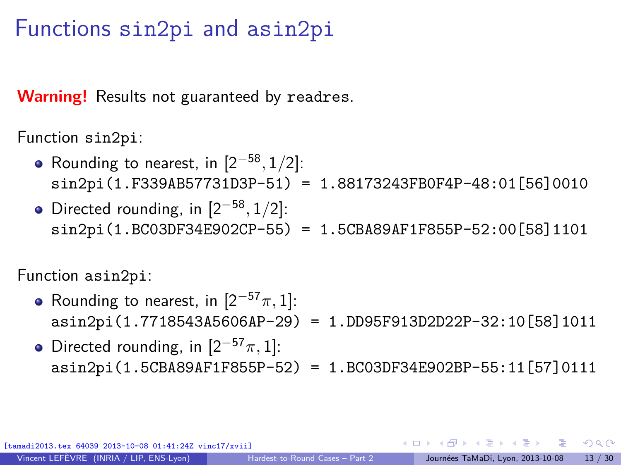#### Functions sin2pi and asin2pi

**Warning!** Results not guaranteed by readres.

Function sin2pi:

- Rounding to nearest, in  $[2^{-58}, 1/2]$ : sin2pi(1.F339AB57731D3P-51) = 1.88173243FB0F4P-48:01[56]0010
- Directed rounding, in  $[2^{-58}, 1/2]$ : sin2pi(1.BC03DF34E902CP-55) = 1.5CBA89AF1F855P-52:00[58]1101

Function asin2pi:

- Rounding to nearest, in  $[2^{-57}\pi, 1]$ : asin2pi(1.7718543A5606AP-29) = 1.DD95F913D2D22P-32:10[58]1011
- Directed rounding, in  $[2^{-57}\pi, 1]$ : asin2pi(1.5CBA89AF1F855P-52) = 1.BC03DF34E902BP-55:11[57]0111

[tamadi2013.tex 64039 2013-10-08 01:41:24Z vinc17/xvii]

 $QQ$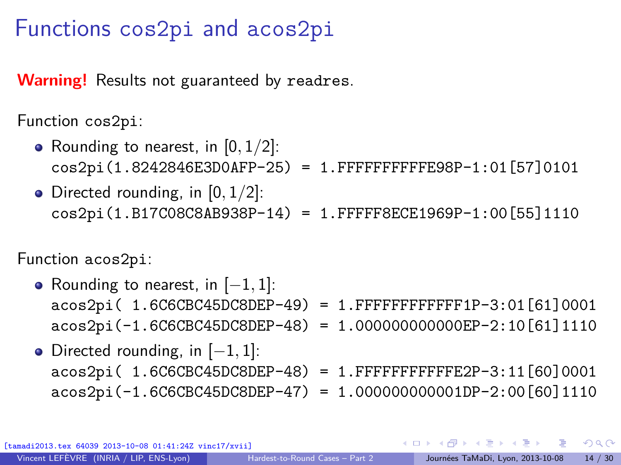#### Functions cos2pi and acos2pi

**Warning!** Results not guaranteed by readres.

Function cos2pi:

- Rounding to nearest, in [0*,* 1*/*2]: cos2pi(1.8242846E3D0AFP-25) = 1.FFFFFFFFFFE98P-1:01[57]0101
- Directed rounding, in [0*,* 1*/*2]: cos2pi(1.B17C08C8AB938P-14) = 1.FFFFF8ECE1969P-1:00[55]1110

Function acos2pi:

- Rounding to nearest, in [−1*,* 1]: acos2pi( 1.6C6CBC45DC8DEP-49) = 1.FFFFFFFFFFFF1P-3:01[61]0001 acos2pi(-1.6C6CBC45DC8DEP-48) = 1.000000000000EP-2:10[61]1110
- Directed rounding, in [−1*,* 1]: acos2pi( 1.6C6CBC45DC8DEP-48) = 1.FFFFFFFFFFFE2P-3:11[60]0001 acos2pi(-1.6C6CBC45DC8DEP-47) = 1.000000000001DP-2:00[60]1110

ex 64039 2013-10-08 01:41:24Z vinc17/xvii]

 $\Omega$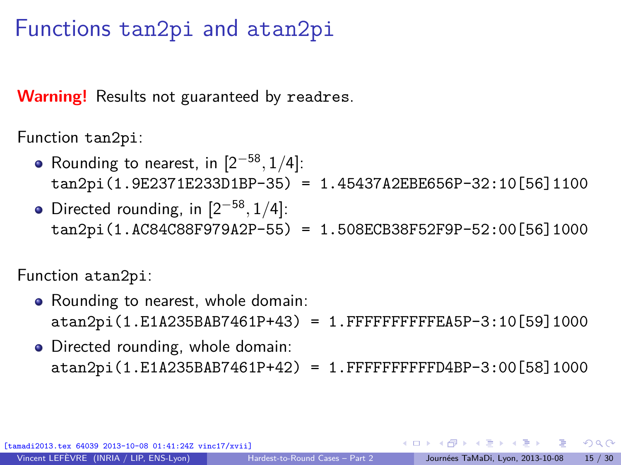#### Functions tan2pi and atan2pi

**Warning!** Results not guaranteed by readres.

Function tan2pi:

- Rounding to nearest, in  $[2^{-58}, 1/4]$ : tan2pi(1.9E2371E233D1BP-35) = 1.45437A2EBE656P-32:10[56]1100
- Directed rounding, in  $[2^{-58}, 1/4]$ : tan2pi(1.AC84C88F979A2P-55) = 1.508ECB38F52F9P-52:00[56]1000

Function atan2pi:

- Rounding to nearest, whole domain: atan2pi(1.E1A235BAB7461P+43) = 1.FFFFFFFFFFEA5P-3:10[59]1000
- Directed rounding, whole domain: atan2pi(1.E1A235BAB7461P+42) = 1.FFFFFFFFFFD4BP-3:00[58]1000

x 64039 2013-10-08 01:41:24Z vinc17/xvii]

 $QQ$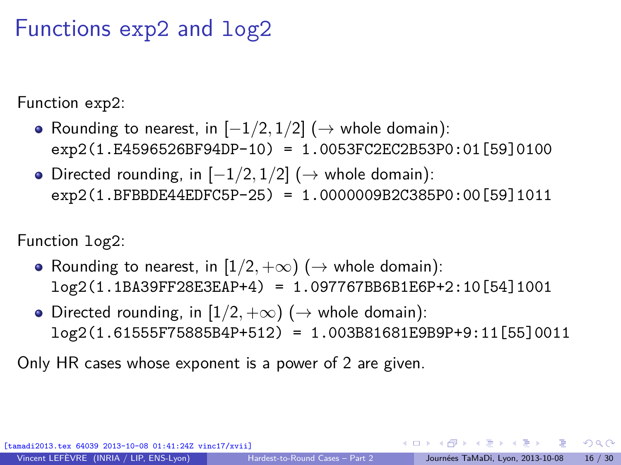### Functions exp2 and log2

Function exp2:

- Rounding to nearest, in [−1*/*2*,* 1*/*2] (→ whole domain): exp2(1.E4596526BF94DP-10) = 1.0053FC2EC2B53P0:01[59]0100
- Directed rounding, in [−1*/*2*,* 1*/*2] (→ whole domain): exp2(1.BFBBDE44EDFC5P-25) = 1.0000009B2C385P0:00[59]1011

Function log2:

- Rounding to nearest, in  $[1/2, +\infty)$  ( $\rightarrow$  whole domain): log2(1.1BA39FF28E3EAP+4) = 1.097767BB6B1E6P+2:10[54]1001
- Directed rounding, in  $[1/2, +\infty)$  ( $\rightarrow$  whole domain): log2(1.61555F75885B4P+512) = 1.003B81681E9B9P+9:11[55]0011

Only HR cases whose exponent is a power of 2 are given.

[tamadi2013.tex 64039 2013-10-08 01:41:24Z vinc17/xvii]

 $\Omega$ 

 $\left\{ \begin{array}{ccc} \square & \rightarrow & \left\{ \bigoplus \right\} & \rightarrow & \left\{ \begin{array}{ccc} \square & \rightarrow & \left\{ \begin{array}{ccc} \square & \rightarrow & \left\{ \end{array} \right\} \end{array} \right. \right. , \end{array} \right.$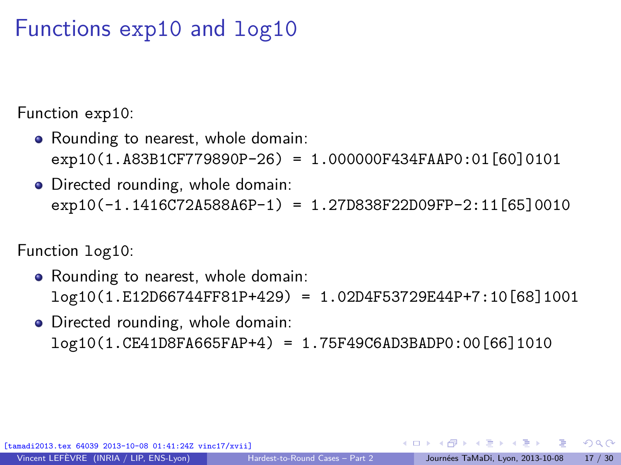#### Functions exp10 and log10

Function exp10:

- Rounding to nearest, whole domain: exp10(1.A83B1CF779890P-26) = 1.000000F434FAAP0:01[60]0101
- Directed rounding, whole domain: exp10(-1.1416C72A588A6P-1) = 1.27D838F22D09FP-2:11[65]0010

Function log10:

- Rounding to nearest, whole domain: log10(1.E12D66744FF81P+429) = 1.02D4F53729E44P+7:10[68]1001
- Directed rounding, whole domain: log10(1.CE41D8FA665FAP+4) = 1.75F49C6AD3BADP0:00[66]1010

ex 64039 2013-10-08 01:41:24Z vinc17/xvii]

 $2990$ 

K ロ X K @ X K 호 X K 호 X (호 X )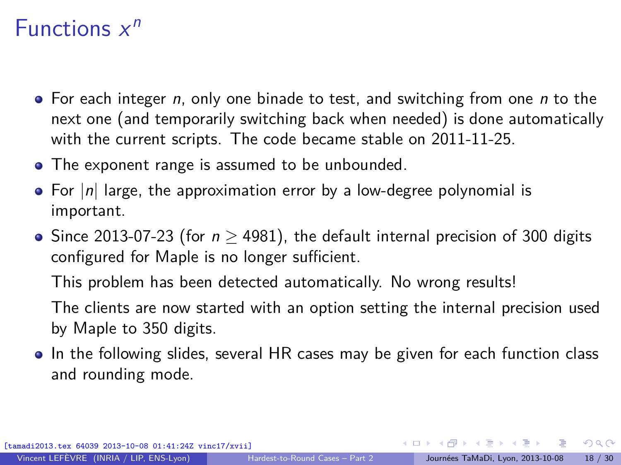# Functions  $x^n$

- $\bullet$  For each integer n, only one binade to test, and switching from one n to the next one (and temporarily switching back when needed) is done automatically with the current scripts. The code became stable on 2011-11-25.
- The exponent range is assumed to be unbounded.
- For  $|n|$  large, the approximation error by a low-degree polynomial is important.
- Since 2013-07-23 (for  $n \ge 4981$ ), the default internal precision of 300 digits configured for Maple is no longer sufficient.

This problem has been detected automatically. No wrong results!

The clients are now started with an option setting the internal precision used by Maple to 350 digits.

• In the following slides, several HR cases may be given for each function class and rounding mode.

ex 64039 2013-10-08 01:41:24Z vinc17/xvii]

イロト イ何 トイヨ トイヨト

<span id="page-17-0"></span> $\Omega$ 

Vincent LEFÈVRE (INRIA / LIP, ENS-Lyon) [Hardest-to-Round Cases – Part 2](#page-0-0) Journées TaMaDi, Lyon, 2013-10-08 18 / 30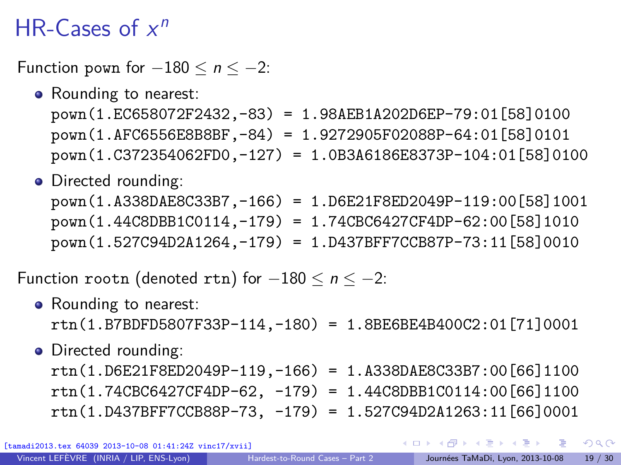# HR-Cases of  $x^n$

Function pown for  $-180 \le n \le -2$ :

• Rounding to nearest:

pown(1.EC658072F2432,-83) = 1.98AEB1A202D6EP-79:01[58]0100 pown(1.AFC6556E8B8BF,-84) = 1.9272905F02088P-64:01[58]0101 pown(1.C372354062FD0,-127) = 1.0B3A6186E8373P-104:01[58]0100

• Directed rounding:

pown(1.A338DAE8C33B7,-166) = 1.D6E21F8ED2049P-119:00[58]1001 pown(1.44C8DBB1C0114,-179) = 1.74CBC6427CF4DP-62:00[58]1010 pown(1.527C94D2A1264,-179) = 1.D437BFF7CCB87P-73:11[58]0010

Function rootn (denoted rtn) for  $-180 \le n \le -2$ :

- Rounding to nearest: rtn(1.B7BDFD5807F33P-114,-180) = 1.8BE6BE4B400C2:01[71]0001
- Directed rounding:

rtn(1.D6E21F8ED2049P-119,-166) = 1.A338DAE8C33B7:00[66]1100 rtn(1.74CBC6427CF4DP-62, -179) = 1.44C8DBB1C0114:00[66]1100 rtn(1.D437BFF7CCB88P-73, -179) = 1.527C94D2A1263:11[66]0001

 $\Omega$ 

 $\mathbf{A} \oplus \mathbf{A} \rightarrow \mathbf{A} \oplus \mathbf{A} \rightarrow \mathbf{A} \oplus \mathbf{A} \rightarrow \mathbf{A} \oplus \mathbf{A}$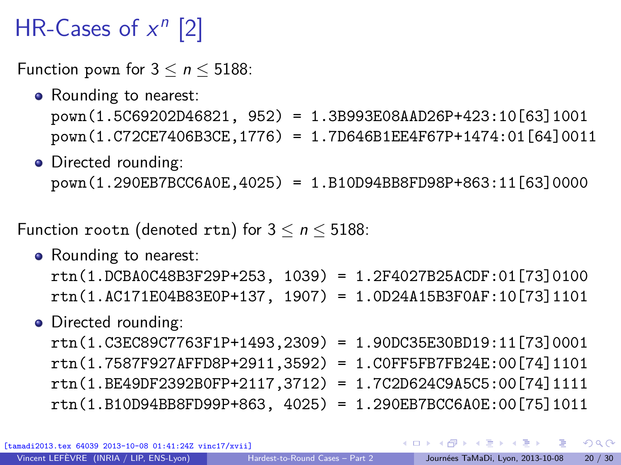# HR-Cases of  $x^n$  [2]

Function pown for  $3 \lt n \lt 5188$ :

- Rounding to nearest: pown(1.5C69202D46821, 952) = 1.3B993E08AAD26P+423:10[63]1001 pown(1.C72CE7406B3CE,1776) = 1.7D646B1EE4F67P+1474:01[64]0011
- Directed rounding: pown(1.290EB7BCC6A0E,4025) = 1.B10D94BB8FD98P+863:11[63]0000

Function rootn (denoted rtn) for  $3 \le n \le 5188$ :

• Rounding to nearest: rtn(1.DCBA0C48B3F29P+253, 1039) = 1.2F4027B25ACDF:01[73]0100 rtn(1.AC171E04B83E0P+137, 1907) = 1.0D24A15B3F0AF:10[73]1101

#### • Directed rounding:

rtn(1.C3EC89C7763F1P+1493,2309) = 1.90DC35E30BD19:11[73]0001 rtn(1.7587F927AFFD8P+2911,3592) = 1.C0FF5FB7FB24E:00[74]1101 rtn(1.BE49DF2392B0FP+2117,3712) = 1.7C2D624C9A5C5:00[74]1111 rtn(1.B10D94BB8FD99P+863, 4025) = 1.290EB7BCC6A0E:00[75]1011

tex 64039 2013-10-08 01:41:24Z vinc17/xvii]

 $QQ$ 

 $\left\{ \begin{array}{ccc} 1 & 0 & 0 \\ 0 & 1 & 0 \end{array} \right.$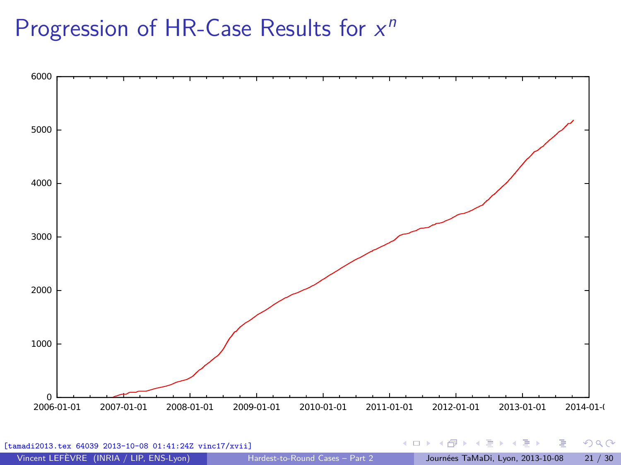# Progression of HR-Case Results for  $x^n$



| [tamadi2013.tex 64039 2013-10-08 01:41:24Z vinc17/xvii] |                                 |  | HELD KAPD KIED KIED IE HOQO               |  |
|---------------------------------------------------------|---------------------------------|--|-------------------------------------------|--|
| Vincent LEFÈVRE (INRIA / LIP, ENS-Lyon)                 | Hardest-to-Round Cases - Part 2 |  | Journées TaMaDi, Lyon, 2013-10-08 21 / 30 |  |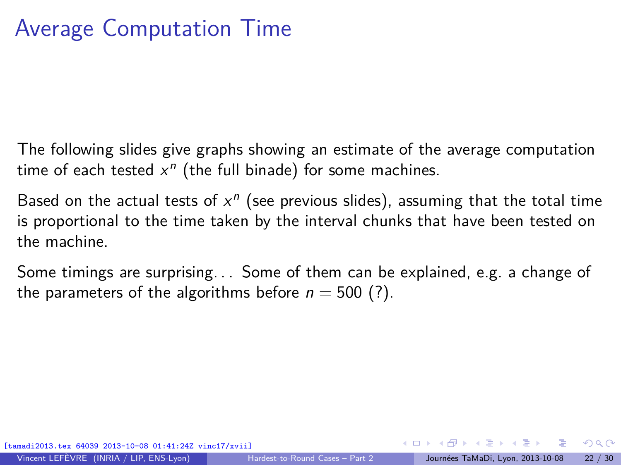# Average Computation Time

The following slides give graphs showing an estimate of the average computation time of each tested  $x^n$  (the full binade) for some machines.

Based on the actual tests of  $x^n$  (see previous slides), assuming that the total time is proportional to the time taken by the interval chunks that have been tested on the machine.

<span id="page-21-0"></span>Some timings are surprising. . . Some of them can be explained, e.g. a change of the parameters of the algorithms before  $n = 500$  (?).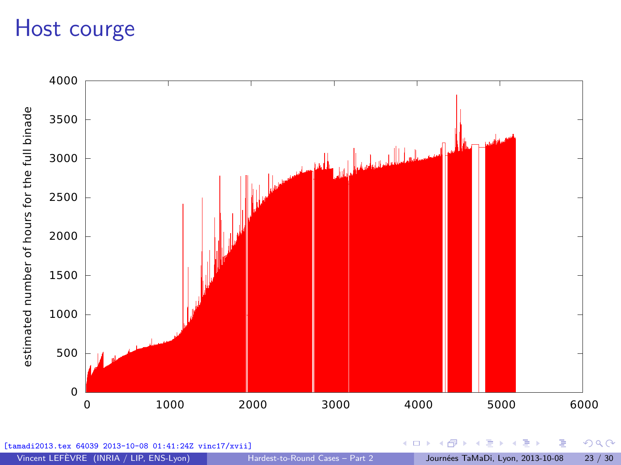## Host courge

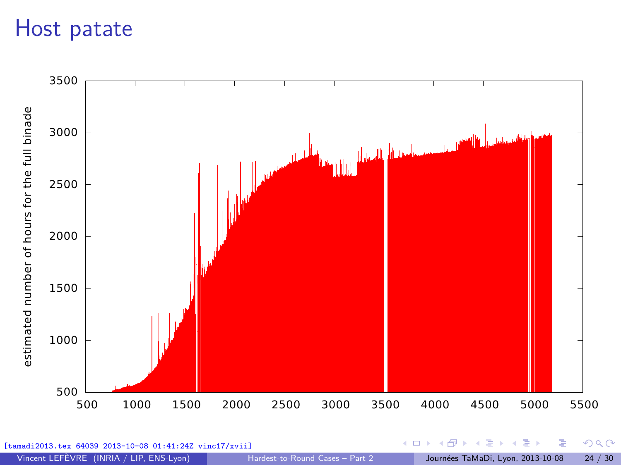### Host patate



Vincent LEFÈVRE (INRIA / LIP, ENS-Lyon) [Hardest-to-Round Cases – Part 2](#page-0-0) Journées TaMaDi, Lyon, 2013-10-08 24 / 30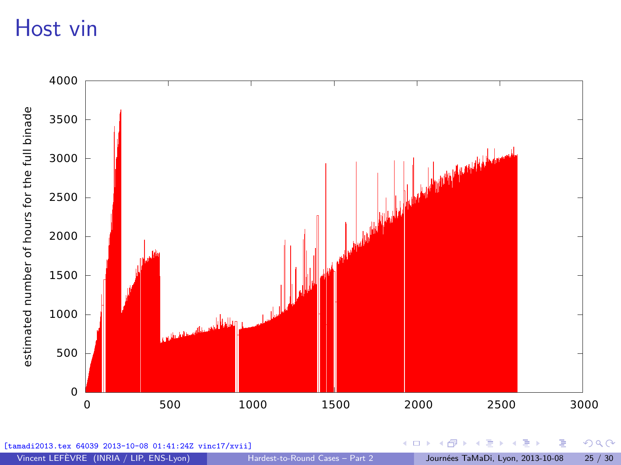## Host vin

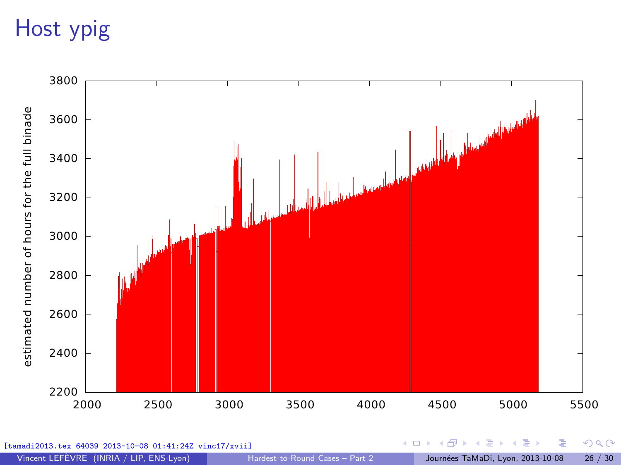# Host ypig

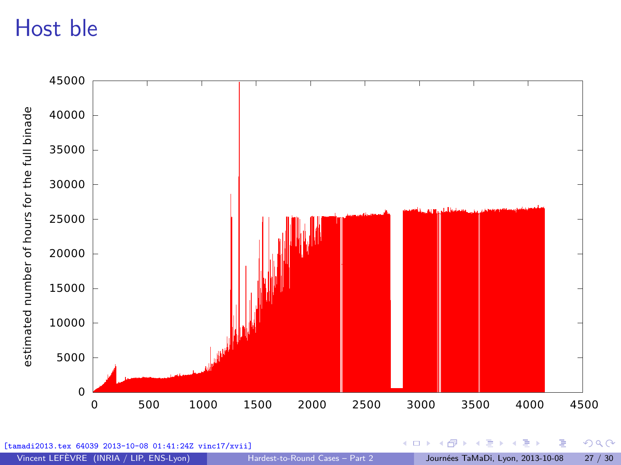# Host ble

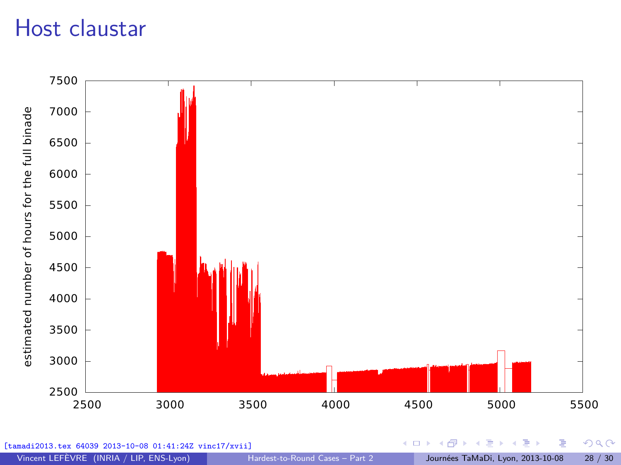## Host claustar

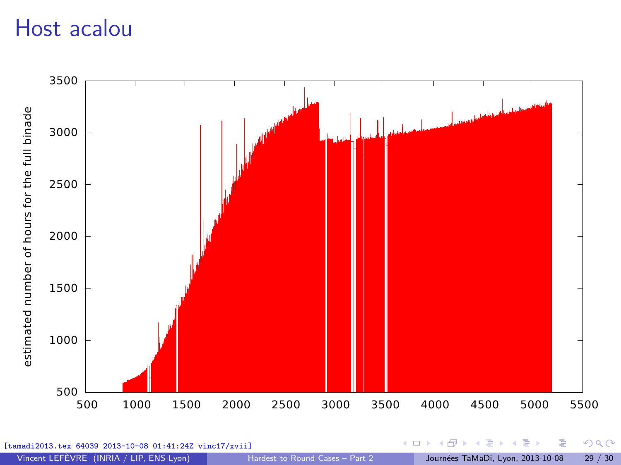### Host acalou



Vincent LEFÈVRE (INRIA / LIP, ENS-Lyon) [Hardest-to-Round Cases – Part 2](#page-0-0) Journées TaMaDi, Lyon, 2013-10-08 29 / 30